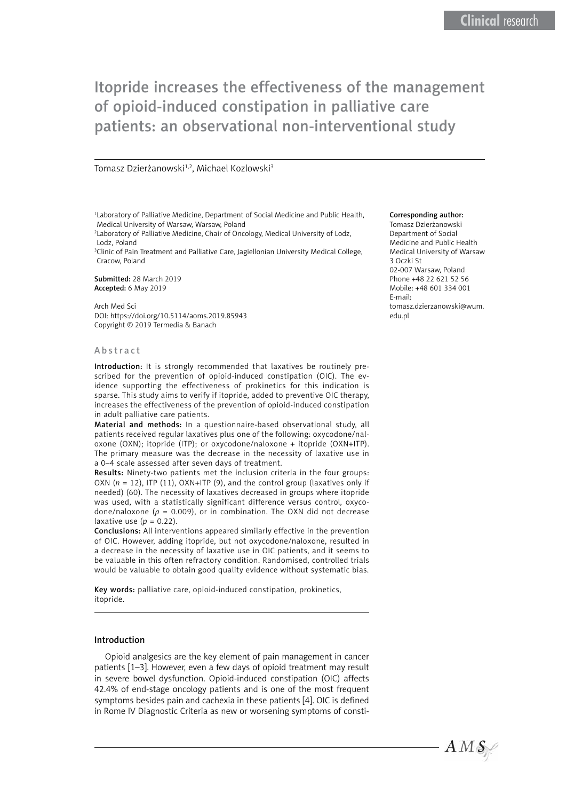# Itopride increases the effectiveness of the management of opioid-induced constipation in palliative care patients: an observational non-interventional study

#### Tomasz Dzierżanowski<sup>1,2</sup>, Michael Kozlowski<sup>3</sup>

<sup>1</sup> Laboratory of Palliative Medicine, Department of Social Medicine and Public Health, Medical University of Warsaw, Warsaw, Poland

2 Laboratory of Palliative Medicine, Chair of Oncology, Medical University of Lodz, Lodz, Poland

<sup>3</sup>Clinic of Pain Treatment and Palliative Care, Jagiellonian University Medical College, Cracow, Poland

Submitted: 28 March 2019 Accepted: 6 May 2019

Arch Med Sci DOI: https://doi.org/10.5114/aoms.2019.85943 Copyright © 2019 Termedia & Banach

#### Abstract

Introduction: It is strongly recommended that laxatives be routinely prescribed for the prevention of opioid-induced constipation (OIC). The evidence supporting the effectiveness of prokinetics for this indication is sparse. This study aims to verify if itopride, added to preventive OIC therapy, increases the effectiveness of the prevention of opioid-induced constipation in adult palliative care patients.

Material and methods: In a questionnaire-based observational study, all patients received regular laxatives plus one of the following: oxycodone/naloxone (OXN); itopride (ITP); or oxycodone/naloxone + itopride (OXN+ITP). The primary measure was the decrease in the necessity of laxative use in a 0–4 scale assessed after seven days of treatment.

Results: Ninety-two patients met the inclusion criteria in the four groups: OXN (*n* = 12), ITP (11), OXN+ITP (9), and the control group (laxatives only if needed) (60). The necessity of laxatives decreased in groups where itopride was used, with a statistically significant difference versus control, oxycodone/naloxone ( $p = 0.009$ ), or in combination. The OXN did not decrease laxative use  $(p = 0.22)$ .

Conclusions: All interventions appeared similarly effective in the prevention of OIC. However, adding itopride, but not oxycodone/naloxone, resulted in a decrease in the necessity of laxative use in OIC patients, and it seems to be valuable in this often refractory condition. Randomised, controlled trials would be valuable to obtain good quality evidence without systematic bias.

Key words: palliative care, opioid-induced constipation, prokinetics, itopride.

#### Introduction

Opioid analgesics are the key element of pain management in cancer patients [1–3]. However, even a few days of opioid treatment may result in severe bowel dysfunction. Opioid-induced constipation (OIC) affects 42.4% of end-stage oncology patients and is one of the most frequent symptoms besides pain and cachexia in these patients [4]. OIC is defined in Rome IV Diagnostic Criteria as new or worsening symptoms of consti-

#### Corresponding author:

Tomasz Dzierżanowski Department of Social Medicine and Public Health Medical University of Warsaw 3 Oczki St 02-007 Warsaw, Poland Phone +48 22 621 52 56 Mobile: +48 601 334 001 E-mail: tomasz.dzierzanowski@wum. edu.pl

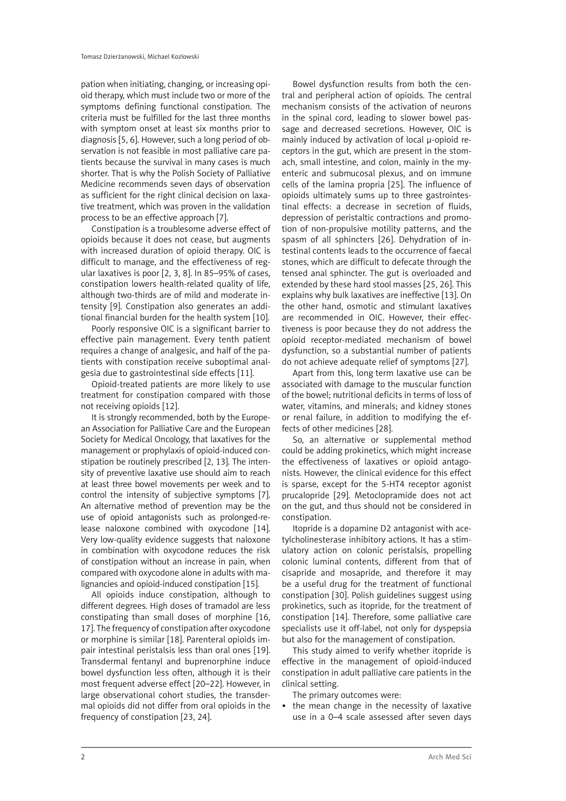pation when initiating, changing, or increasing opioid therapy, which must include two or more of the symptoms defining functional constipation. The criteria must be fulfilled for the last three months with symptom onset at least six months prior to diagnosis [5, 6]. However, such a long period of observation is not feasible in most palliative care patients because the survival in many cases is much shorter. That is why the Polish Society of Palliative Medicine recommends seven days of observation as sufficient for the right clinical decision on laxative treatment, which was proven in the validation process to be an effective approach [7].

Constipation is a troublesome adverse effect of opioids because it does not cease, but augments with increased duration of opioid therapy. OIC is difficult to manage, and the effectiveness of regular laxatives is poor [2, 3, 8]. In 85–95% of cases, constipation lowers health-related quality of life, although two-thirds are of mild and moderate intensity [9]. Constipation also generates an additional financial burden for the health system [10].

Poorly responsive OIC is a significant barrier to effective pain management. Every tenth patient requires a change of analgesic, and half of the patients with constipation receive suboptimal analgesia due to gastrointestinal side effects [11].

Opioid-treated patients are more likely to use treatment for constipation compared with those not receiving opioids [12].

It is strongly recommended, both by the European Association for Palliative Care and the European Society for Medical Oncology, that laxatives for the management or prophylaxis of opioid-induced constipation be routinely prescribed [2, 13]. The intensity of preventive laxative use should aim to reach at least three bowel movements per week and to control the intensity of subjective symptoms [7]. An alternative method of prevention may be the use of opioid antagonists such as prolonged-release naloxone combined with oxycodone [14]. Very low-quality evidence suggests that naloxone in combination with oxycodone reduces the risk of constipation without an increase in pain, when compared with oxycodone alone in adults with malignancies and opioid-induced constipation [15].

All opioids induce constipation, although to different degrees. High doses of tramadol are less constipating than small doses of morphine [16, 17]. The frequency of constipation after oxycodone or morphine is similar [18]. Parenteral opioids impair intestinal peristalsis less than oral ones [19]. Transdermal fentanyl and buprenorphine induce bowel dysfunction less often, although it is their most frequent adverse effect [20–22]. However, in large observational cohort studies, the transdermal opioids did not differ from oral opioids in the frequency of constipation [23, 24].

Bowel dysfunction results from both the central and peripheral action of opioids. The central mechanism consists of the activation of neurons in the spinal cord, leading to slower bowel passage and decreased secretions. However, OIC is mainly induced by activation of local μ-opioid receptors in the gut, which are present in the stomach, small intestine, and colon, mainly in the myenteric and submucosal plexus, and on immune cells of the lamina propria [25]. The influence of opioids ultimately sums up to three gastrointestinal effects: a decrease in secretion of fluids, depression of peristaltic contractions and promotion of non-propulsive motility patterns, and the spasm of all sphincters [26]. Dehydration of intestinal contents leads to the occurrence of faecal stones, which are difficult to defecate through the tensed anal sphincter. The gut is overloaded and extended by these hard stool masses [25, 26]. This explains why bulk laxatives are ineffective [13]. On the other hand, osmotic and stimulant laxatives are recommended in OIC. However, their effectiveness is poor because they do not address the opioid receptor-mediated mechanism of bowel dysfunction, so a substantial number of patients do not achieve adequate relief of symptoms [27].

Apart from this, long term laxative use can be associated with damage to the muscular function of the bowel; nutritional deficits in terms of loss of water, vitamins, and minerals; and kidney stones or renal failure, in addition to modifying the effects of other medicines [28].

So, an alternative or supplemental method could be adding prokinetics, which might increase the effectiveness of laxatives or opioid antagonists. However, the clinical evidence for this effect is sparse, except for the 5-HT4 receptor agonist prucalopride [29]. Metoclopramide does not act on the gut, and thus should not be considered in constipation.

Itopride is a dopamine D2 antagonist with acetylcholinesterase inhibitory actions. It has a stimulatory action on colonic peristalsis, propelling colonic luminal contents, different from that of cisapride and mosapride, and therefore it may be a useful drug for the treatment of functional constipation [30]. Polish guidelines suggest using prokinetics, such as itopride, for the treatment of constipation [14]. Therefore, some palliative care specialists use it off-label, not only for dyspepsia but also for the management of constipation.

This study aimed to verify whether itopride is effective in the management of opioid-induced constipation in adult palliative care patients in the clinical setting.

The primary outcomes were:

the mean change in the necessity of laxative use in a 0–4 scale assessed after seven days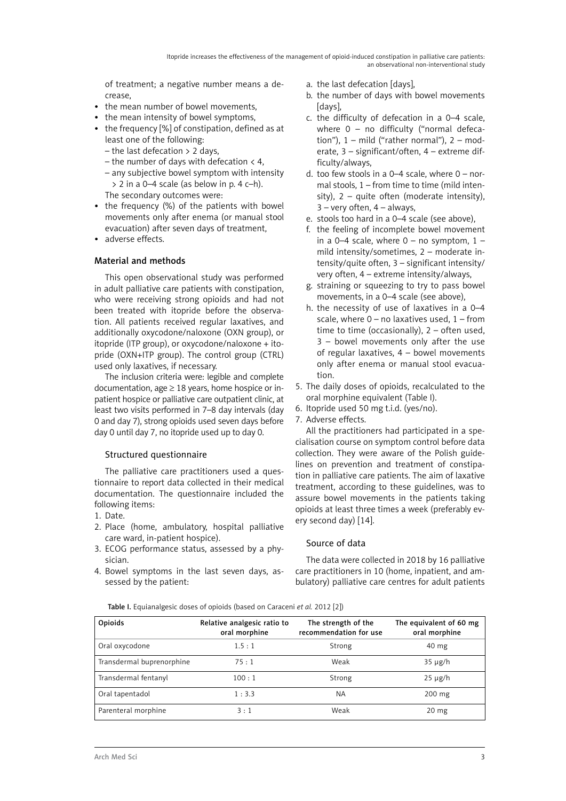of treatment; a negative number means a decrease,

- the mean number of bowel movements,
- the mean intensity of bowel symptoms,
- the frequency [%] of constipation, defined as at least one of the following:
	- the last defecation > 2 days,
	- the number of days with defecation  $\langle 4, \rangle$
	- any subjective bowel symptom with intensity  $> 2$  in a 0–4 scale (as below in p. 4 c–h).
	- The secondary outcomes were:
- the frequency (%) of the patients with bowel movements only after enema (or manual stool evacuation) after seven days of treatment,
- adverse effects.

# Material and methods

This open observational study was performed in adult palliative care patients with constipation, who were receiving strong opioids and had not been treated with itopride before the observation. All patients received regular laxatives, and additionally oxycodone/naloxone (OXN group), or itopride (ITP group), or oxycodone/naloxone + itopride (OXN+ITP group). The control group (CTRL) used only laxatives, if necessary.

The inclusion criteria were: legible and complete documentation, age  $\geq$  18 years, home hospice or inpatient hospice or palliative care outpatient clinic, at least two visits performed in 7–8 day intervals (day 0 and day 7), strong opioids used seven days before day 0 until day 7, no itopride used up to day 0.

# Structured questionnaire

The palliative care practitioners used a questionnaire to report data collected in their medical documentation. The questionnaire included the following items:

- 1. Date.
- 2. Place (home, ambulatory, hospital palliative care ward, in-patient hospice).
- 3. ECOG performance status, assessed by a physician.
- 4. Bowel symptoms in the last seven days, assessed by the patient:
- a. the last defecation [days],
- b. the number of days with bowel movements [days],
- c. the difficulty of defecation in a 0–4 scale, where 0 - no difficulty ("normal defecation"),  $1 - \text{mild}$  ("rather normal"),  $2 - \text{mod}$ erate, 3 – significant/often, 4 – extreme difficulty/always,
- d. too few stools in a  $0-4$  scale, where  $0 -$  normal stools, 1 – from time to time (mild intensity),  $2 -$  quite often (moderate intensity),  $3$  – very often,  $4$  – always,
- e. stools too hard in a 0–4 scale (see above),
- f. the feeling of incomplete bowel movement in a 0-4 scale, where  $0 - no$  symptom,  $1$ mild intensity/sometimes, 2 – moderate intensity/quite often, 3 – significant intensity/ very often, 4 – extreme intensity/always,
- g. straining or squeezing to try to pass bowel movements, in a 0–4 scale (see above),
- h. the necessity of use of laxatives in a 0–4 scale, where  $0 -$  no laxatives used,  $1 -$  from time to time (occasionally), 2 – often used, 3 – bowel movements only after the use of regular laxatives, 4 – bowel movements only after enema or manual stool evacuation.
- 5. The daily doses of opioids, recalculated to the oral morphine equivalent (Table I).
- 6. Itopride used 50 mg t.i.d. (yes/no).
- 7. Adverse effects.

All the practitioners had participated in a specialisation course on symptom control before data collection. They were aware of the Polish guidelines on prevention and treatment of constipation in palliative care patients. The aim of laxative treatment, according to these guidelines, was to assure bowel movements in the patients taking opioids at least three times a week (preferably every second day) [14].

# Source of data

The data were collected in 2018 by 16 palliative care practitioners in 10 (home, inpatient, and ambulatory) palliative care centres for adult patients

Table I. Equianalgesic doses of opioids (based on Caraceni *et al.* 2012 [2])

| Opioids                   | Relative analgesic ratio to<br>oral morphine | The strength of the<br>recommendation for use | The equivalent of 60 mg<br>oral morphine |
|---------------------------|----------------------------------------------|-----------------------------------------------|------------------------------------------|
| Oral oxycodone            | 1.5:1                                        | Strong                                        | $40 \text{ mg}$                          |
| Transdermal buprenorphine | 75:1                                         | Weak                                          | $35 \mu g/h$                             |
| Transdermal fentanyl      | 100:1                                        | Strong                                        | $25 \mu g/h$                             |
| Oral tapentadol           | 1:3.3                                        | <b>NA</b>                                     | $200 \text{ mg}$                         |
| Parenteral morphine       | 3:1                                          | Weak                                          | $20 \text{ mg}$                          |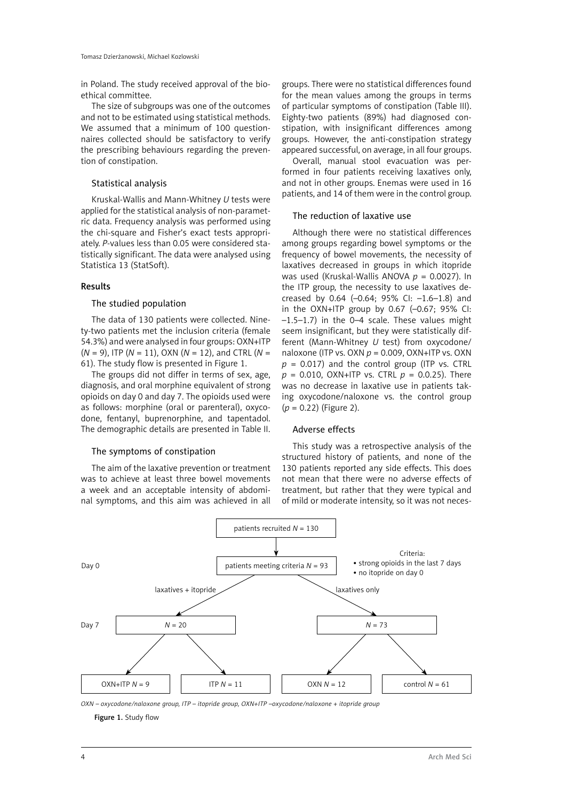in Poland. The study received approval of the bioethical committee.

The size of subgroups was one of the outcomes and not to be estimated using statistical methods. We assumed that a minimum of 100 questionnaires collected should be satisfactory to verify the prescribing behaviours regarding the prevention of constipation.

### Statistical analysis

Kruskal-Wallis and Mann-Whitney *U* tests were applied for the statistical analysis of non-parametric data. Frequency analysis was performed using the chi-square and Fisher's exact tests appropriately. *P*-values less than 0.05 were considered statistically significant. The data were analysed using Statistica 13 (StatSoft).

### Results

#### The studied population

The data of 130 patients were collected. Ninety-two patients met the inclusion criteria (female 54.3%) and were analysed in four groups: OXN+ITP (*N* = 9), ITP (*N* = 11), OXN (*N* = 12), and CTRL (*N* = 61). The study flow is presented in Figure 1.

The groups did not differ in terms of sex, age, diagnosis, and oral morphine equivalent of strong opioids on day 0 and day 7. The opioids used were as follows: morphine (oral or parenteral), oxycodone, fentanyl, buprenorphine, and tapentadol. The demographic details are presented in Table II.

# The symptoms of constipation

The aim of the laxative prevention or treatment was to achieve at least three bowel movements a week and an acceptable intensity of abdominal symptoms, and this aim was achieved in all

groups. There were no statistical differences found for the mean values among the groups in terms of particular symptoms of constipation (Table III). Eighty-two patients (89%) had diagnosed constipation, with insignificant differences among groups. However, the anti-constipation strategy appeared successful, on average, in all four groups.

Overall, manual stool evacuation was performed in four patients receiving laxatives only, and not in other groups. Enemas were used in 16 patients, and 14 of them were in the control group.

# The reduction of laxative use

Although there were no statistical differences among groups regarding bowel symptoms or the frequency of bowel movements, the necessity of laxatives decreased in groups in which itopride was used (Kruskal-Wallis ANOVA *p* = 0.0027). In the ITP group, the necessity to use laxatives decreased by 0.64 (–0.64; 95% CI: –1.6–1.8) and in the OXN+ITP group by 0.67 (–0.67; 95% CI: –1.5–1.7) in the 0–4 scale. These values might seem insignificant, but they were statistically different (Mann-Whitney *U* test) from oxycodone/ naloxone (ITP vs. OXN *p* = 0.009, OXN+ITP vs. OXN  $p = 0.017$ ) and the control group (ITP vs. CTRL  $p = 0.010$ , OXN+ITP vs. CTRL  $p = 0.0.25$ ). There was no decrease in laxative use in patients taking oxycodone/naloxone vs. the control group (*p* = 0.22) (Figure 2).

#### Adverse effects

This study was a retrospective analysis of the structured history of patients, and none of the 130 patients reported any side effects. This does not mean that there were no adverse effects of treatment, but rather that they were typical and of mild or moderate intensity, so it was not neces-



*OXN – oxycodone/naloxone group, ITP – itopride group, OXN+ITP –oxycodone/naloxone + itopride group*

Figure 1. Study flow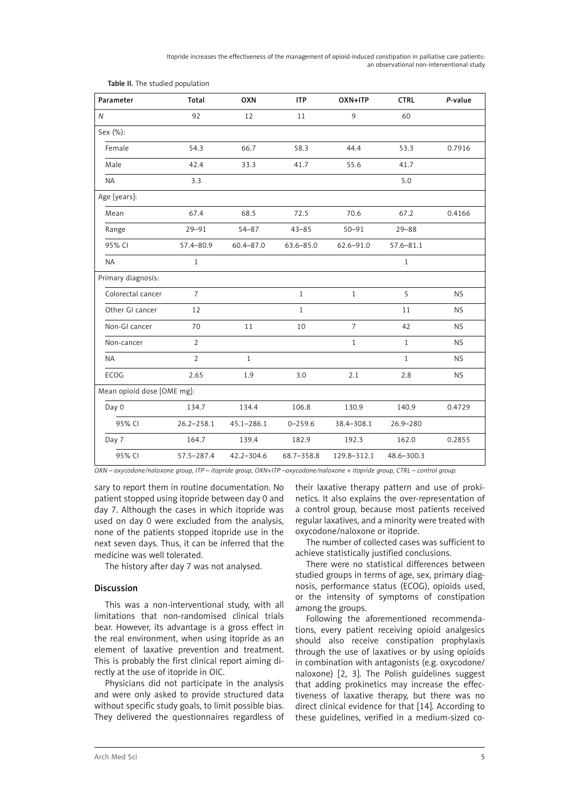Itopride increases the effectiveness of the management of opioid-induced constipation in palliative care patients: an observational non-interventional study

| Parameter                  | Total          | OXN            | <b>ITP</b>    | OXN+ITP        | <b>CTRL</b>   | P-value   |
|----------------------------|----------------|----------------|---------------|----------------|---------------|-----------|
| $\overline{N}$             | 92             | 12             | 11            | 9              | 60            |           |
| Sex (%):                   |                |                |               |                |               |           |
| Female                     | 54.3           | 66.7           | 58.3          | 44.4           | 53.3          | 0.7916    |
| Male                       | 42.4           | 33.3           | 41.7          | 55.6           | 41.7          |           |
| <b>NA</b>                  | 3.3            |                |               |                | 5.0           |           |
| Age [years]:               |                |                |               |                |               |           |
| Mean                       | 67.4           | 68.5           | 72.5          | 70.6           | 67.2          | 0.4166    |
| Range                      | $29 - 91$      | $54 - 87$      | $43 - 85$     | $50 - 91$      | $29 - 88$     |           |
| 95% CI                     | 57.4-80.9      | $60.4 - 87.0$  | $63.6 - 85.0$ | $62.6 - 91.0$  | $57.6 - 81.1$ |           |
| <b>NA</b>                  | $\mathbf{1}$   |                |               |                | $\mathbf{1}$  |           |
| Primary diagnosis:         |                |                |               |                |               |           |
| Colorectal cancer          | $\overline{7}$ |                | $\mathbf{1}$  | $\mathbf{1}$   | 5             | <b>NS</b> |
| Other GI cancer            | 12             |                | $\mathbf{1}$  |                | 11            | <b>NS</b> |
| Non-GI cancer              | 70             | $11\,$         | 10            | $\overline{7}$ | 42            | <b>NS</b> |
| Non-cancer                 | $\overline{2}$ |                |               | $\mathbf{1}$   | $\mathbf{1}$  | <b>NS</b> |
| <b>NA</b>                  | $\overline{2}$ | $\mathbf{1}$   |               |                | $\mathbf{1}$  | <b>NS</b> |
| ECOG                       | 2.65           | 1.9            | 3.0           | 2.1            | 2.8           | <b>NS</b> |
| Mean opioid dose [OME mg]: |                |                |               |                |               |           |
| Day 0                      | 134.7          | 134.4          | 106.8         | 130.9          | 140.9         | 0.4729    |
| 95% CI                     | $26.2 - 258.1$ | $45.1 - 286.1$ | $0 - 259.6$   | 38.4-308.1     | $26.9 - 280$  |           |
| Day 7                      | 164.7          | 139.4          | 182.9         | 192.3          | 162.0         | 0.2855    |
| 95% CI                     | 57.5-287.4     | $42.2 - 304.6$ | 68.7-358.8    | 129.8-312.1    | 48.6-300.3    |           |

Table II. The studied population

*OXN – oxycodone/naloxone group, ITP – itopride group, OXN+ITP –oxycodone/naloxone + itopride group, CTRL – control group.*

sary to report them in routine documentation. No patient stopped using itopride between day 0 and day 7. Although the cases in which itopride was used on day 0 were excluded from the analysis, none of the patients stopped itopride use in the next seven days. Thus, it can be inferred that the medicine was well tolerated.

The history after day 7 was not analysed.

# Discussion

This was a non-interventional study, with all limitations that non-randomised clinical trials bear. However, its advantage is a gross effect in the real environment, when using itopride as an element of laxative prevention and treatment. This is probably the first clinical report aiming directly at the use of itopride in OIC.

Physicians did not participate in the analysis and were only asked to provide structured data without specific study goals, to limit possible bias. They delivered the questionnaires regardless of their laxative therapy pattern and use of prokinetics. It also explains the over-representation of a control group, because most patients received regular laxatives, and a minority were treated with oxycodone/naloxone or itopride.

The number of collected cases was sufficient to achieve statistically justified conclusions.

There were no statistical differences between studied groups in terms of age, sex, primary diagnosis, performance status (ECOG), opioids used, or the intensity of symptoms of constipation among the groups.

Following the aforementioned recommendations, every patient receiving opioid analgesics should also receive constipation prophylaxis through the use of laxatives or by using opioids in combination with antagonists (e.g. oxycodone/ naloxone) [2, 3]. The Polish guidelines suggest that adding prokinetics may increase the effectiveness of laxative therapy, but there was no direct clinical evidence for that [14]. According to these guidelines, verified in a medium-sized co-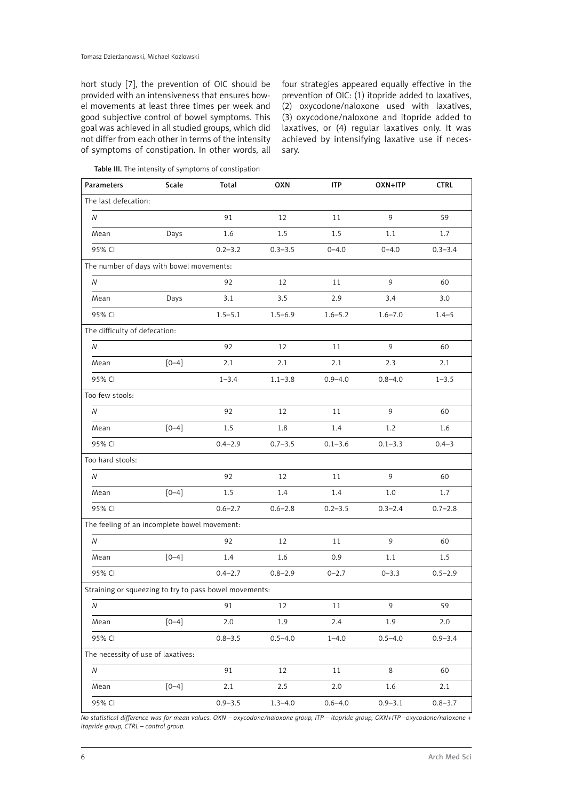hort study [7], the prevention of OIC should be provided with an intensiveness that ensures bowel movements at least three times per week and good subjective control of bowel symptoms. This goal was achieved in all studied groups, which did not differ from each other in terms of the intensity of symptoms of constipation. In other words, all four strategies appeared equally effective in the prevention of OIC: (1) itopride added to laxatives, (2) oxycodone/naloxone used with laxatives, (3) oxycodone/naloxone and itopride added to laxatives, or (4) regular laxatives only. It was achieved by intensifying laxative use if necessary.

Table III. The intensity of symptoms of constipation

| <b>Parameters</b>                                      | Scale     | Total       | <b>OXN</b>  | <b>ITP</b>  | OXN+ITP     | <b>CTRL</b> |
|--------------------------------------------------------|-----------|-------------|-------------|-------------|-------------|-------------|
| The last defecation:                                   |           |             |             |             |             |             |
| Ν                                                      |           | 91          | 12          | 11          | 9           | 59          |
| Mean                                                   | Days      | 1.6         | 1.5         | 1.5         | 1.1         | 1.7         |
| 95% CI                                                 |           | $0.2 - 3.2$ | $0.3 - 3.5$ | $0 - 4.0$   | $0 - 4.0$   | $0.3 - 3.4$ |
| The number of days with bowel movements:               |           |             |             |             |             |             |
| Ν                                                      |           | 92          | 12          | 11          | 9           | 60          |
| Mean                                                   | Days      | 3.1         | 3.5         | 2.9         | 3.4         | 3.0         |
| 95% CI                                                 |           | $1.5 - 5.1$ | $1.5 - 6.9$ | $1.6 - 5.2$ | $1.6 - 7.0$ | $1.4 - 5$   |
| The difficulty of defecation:                          |           |             |             |             |             |             |
| N                                                      |           | 92          | 12          | 11          | 9           | 60          |
| Mean                                                   | $[0 - 4]$ | 2.1         | 2.1         | 2.1         | 2.3         | 2.1         |
| 95% CI                                                 |           | $1 - 3.4$   | $1.1 - 3.8$ | $0.9 - 4.0$ | $0.8 - 4.0$ | $1 - 3.5$   |
| Too few stools:                                        |           |             |             |             |             |             |
| N                                                      |           | 92          | 12          | 11          | 9           | 60          |
| Mean                                                   | $[0 - 4]$ | 1.5         | 1.8         | 1.4         | 1.2         | 1.6         |
| 95% CI                                                 |           | $0.4 - 2.9$ | $0.7 - 3.5$ | $0.1 - 3.6$ | $0.1 - 3.3$ | $0.4 - 3$   |
| Too hard stools:                                       |           |             |             |             |             |             |
| $\mathcal N$                                           |           | 92          | 12          | 11          | 9           | 60          |
| Mean                                                   | $[0 - 4]$ | 1.5         | 1.4         | 1.4         | 1.0         | 1.7         |
| 95% CI                                                 |           | $0.6 - 2.7$ | $0.6 - 2.8$ | $0.2 - 3.5$ | $0.3 - 2.4$ | $0.7 - 2.8$ |
| The feeling of an incomplete bowel movement:           |           |             |             |             |             |             |
| Ν                                                      |           | 92          | 12          | 11          | 9           | 60          |
| Mean                                                   | $[0 - 4]$ | 1.4         | 1.6         | 0.9         | 1.1         | 1.5         |
| 95% CI                                                 |           | $0.4 - 2.7$ | $0.8 - 2.9$ | $0 - 2.7$   | $0 - 3.3$   | $0.5 - 2.9$ |
| Straining or squeezing to try to pass bowel movements: |           |             |             |             |             |             |
| N                                                      |           | 91          | 12          | $11\,$      | 9           | 59          |
| Mean                                                   | $[0 - 4]$ | 2.0         | 1.9         | 2.4         | 1.9         | 2.0         |
| 95% CI                                                 |           | $0.8 - 3.5$ | $0.5 - 4.0$ | $1 - 4.0$   | $0.5 - 4.0$ | $0.9 - 3.4$ |
| The necessity of use of laxatives:                     |           |             |             |             |             |             |
| ${\cal N}$                                             |           | 91          | 12          | 11          | 8           | 60          |
| Mean                                                   | $[0 - 4]$ | 2.1         | 2.5         | 2.0         | 1.6         | 2.1         |
| 95% CI                                                 |           | $0.9 - 3.5$ | $1.3 - 4.0$ | $0.6 - 4.0$ | $0.9 - 3.1$ | $0.8 - 3.7$ |

*No statistical difference was for mean values. OXN – oxycodone/naloxone group, ITP – itopride group, OXN+ITP –oxycodone/naloxone + itopride group, CTRL – control group.*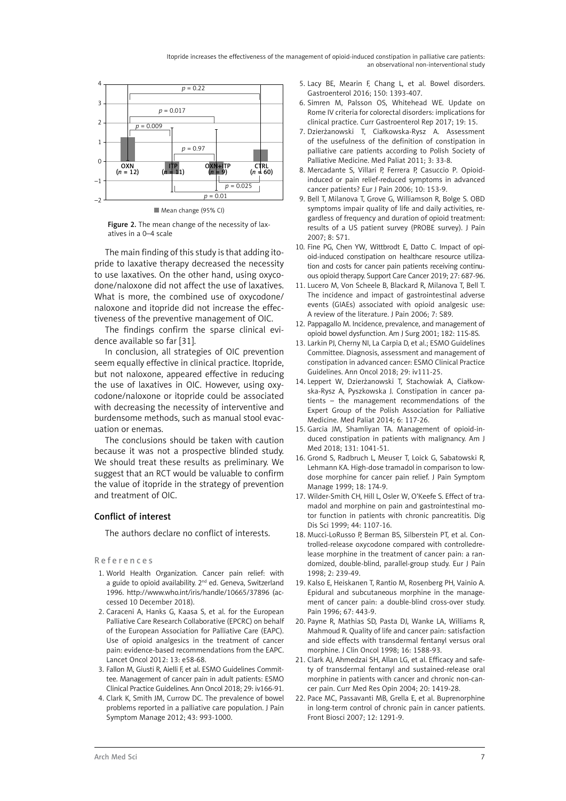Itopride increases the effectiveness of the management of opioid-induced constipation in palliative care patients: an observational non-interventional study



Mean change (95% CI)

Figure 2. The mean change of the necessity of laxatives in a 0–4 scale

The main finding of this study is that adding itopride to laxative therapy decreased the necessity to use laxatives. On the other hand, using oxycodone/naloxone did not affect the use of laxatives. What is more, the combined use of oxycodone/ naloxone and itopride did not increase the effectiveness of the preventive management of OIC.

The findings confirm the sparse clinical evidence available so far [31].

In conclusion, all strategies of OIC prevention seem equally effective in clinical practice. Itopride, but not naloxone, appeared effective in reducing the use of laxatives in OIC. However, using oxycodone/naloxone or itopride could be associated with decreasing the necessity of interventive and burdensome methods, such as manual stool evacuation or enemas.

The conclusions should be taken with caution because it was not a prospective blinded study. We should treat these results as preliminary. We suggest that an RCT would be valuable to confirm the value of itopride in the strategy of prevention and treatment of OIC.

# Conflict of interest

The authors declare no conflict of interests.

References

- 1. World Health Organization. Cancer pain relief: with a guide to opioid availability. 2<sup>nd</sup> ed. Geneva, Switzerland 1996. http://www.who.int/iris/handle/10665/37896 (accessed 10 December 2018).
- 2. Caraceni A, Hanks G, Kaasa S, et al. for the European Palliative Care Research Collaborative (EPCRC) on behalf of the European Association for Palliative Care (EAPC). Use of opioid analgesics in the treatment of cancer pain: evidence-based recommendations from the EAPC. Lancet Oncol 2012: 13: e58-68.
- 3. Fallon M, Giusti R, Aielli F, et al. ESMO Guidelines Committee. Management of cancer pain in adult patients: ESMO Clinical Practice Guidelines. Ann Oncol 2018; 29: iv166-91.
- 4. Clark K, Smith JM, Currow DC. The prevalence of bowel problems reported in a palliative care population. J Pain Symptom Manage 2012; 43: 993-1000.
- 5. Lacy BE, Mearin F, Chang L, et al. Bowel disorders. Gastroenterol 2016; 150: 1393-407.
- 6. Simren M, Palsson OS, Whitehead WE. Update on Rome IV criteria for colorectal disorders: implications for clinical practice. Curr Gastroenterol Rep 2017; 19: 15.
- 7. Dzierżanowski T, Ciałkowska-Rysz A. Assessment of the usefulness of the definition of constipation in palliative care patients according to Polish Society of Palliative Medicine. Med Paliat 2011; 3: 33-8.
- 8. Mercadante S, Villari P, Ferrera P, Casuccio P. Opioidinduced or pain relief-reduced symptoms in advanced cancer patients? Eur J Pain 2006; 10: 153-9.
- 9. Bell T, Milanova T, Grove G, Williamson R, Bolge S. OBD symptoms impair quality of life and daily activities, regardless of frequency and duration of opioid treatment: results of a US patient survey (PROBE survey). J Pain 2007; 8: S71.
- 10. Fine PG, Chen YW, Wittbrodt E, Datto C. Impact of opioid-induced constipation on healthcare resource utilization and costs for cancer pain patients receiving continuous opioid therapy. Support Care Cancer 2019; 27: 687-96.
- 11. Lucero M, Von Scheele B, Blackard R, Milanova T, Bell T. The incidence and impact of gastrointestinal adverse events (GIAEs) associated with opioid analgesic use: A review of the literature. J Pain 2006; 7: S89.
- 12. Pappagallo M. Incidence, prevalence, and management of opioid bowel dysfunction. Am J Surg 2001; 182: 11S-8S.
- 13. Larkin PJ, Cherny NI, La Carpia D, et al.; ESMO Guidelines Committee. Diagnosis, assessment and management of constipation in advanced cancer: ESMO Clinical Practice Guidelines. Ann Oncol 2018; 29: iv111-25.
- 14. Leppert W, Dzierżanowski T, Stachowiak A, Ciałkowska-Rysz A, Pyszkowska J. Constipation in cancer patients – the management recommendations of the Expert Group of the Polish Association for Palliative Medicine. Med Paliat 2014; 6: 117-26.
- 15. Garcia JM, Shamliyan TA. Management of opioid-induced constipation in patients with malignancy. Am J Med 2018; 131: 1041-51.
- 16. Grond S, Radbruch L, Meuser T, Loick G, Sabatowski R, Lehmann KA. High-dose tramadol in comparison to lowdose morphine for cancer pain relief. J Pain Symptom Manage 1999; 18: 174-9.
- 17. Wilder-Smith CH, Hill L, Osler W, O'Keefe S. Effect of tramadol and morphine on pain and gastrointestinal motor function in patients with chronic pancreatitis. Dig Dis Sci 1999; 44: 1107-16.
- 18. Mucci-LoRusso P, Berman BS, Silberstein PT, et al. Controlled-release oxycodone compared with controlledrelease morphine in the treatment of cancer pain: a randomized, double-blind, parallel-group study. Eur J Pain 1998; 2: 239-49.
- 19. Kalso E, Heiskanen T, Rantio M, Rosenberg PH, Vainio A. Epidural and subcutaneous morphine in the management of cancer pain: a double-blind cross-over study. Pain 1996; 67: 443-9.
- 20. Payne R, Mathias SD, Pasta DJ, Wanke LA, Williams R, Mahmoud R. Quality of life and cancer pain: satisfaction and side effects with transdermal fentanyl versus oral morphine. J Clin Oncol 1998; 16: 1588-93.
- 21. Clark AJ, Ahmedzai SH, Allan LG, et al. Efficacy and safety of transdermal fentanyl and sustained-release oral morphine in patients with cancer and chronic non-cancer pain. Curr Med Res Opin 2004; 20: 1419-28.
- 22. Pace MC, Passavanti MB, Grella E, et al. Buprenorphine in long-term control of chronic pain in cancer patients. Front Biosci 2007; 12: 1291-9.